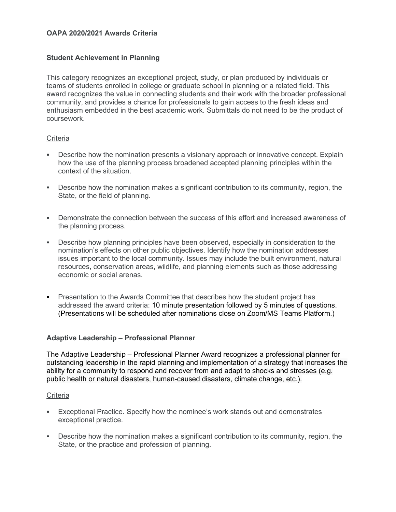# **OAPA 2020/2021 Awards Criteria**

# **Student Achievement in Planning**

This category recognizes an exceptional project, study, or plan produced by individuals or teams of students enrolled in college or graduate school in planning or a related field. This award recognizes the value in connecting students and their work with the broader professional community, and provides a chance for professionals to gain access to the fresh ideas and enthusiasm embedded in the best academic work. Submittals do not need to be the product of coursework.

## **Criteria**

- **-** Describe how the nomination presents a visionary approach or innovative concept. Explain how the use of the planning process broadened accepted planning principles within the context of the situation.
- Describe how the nomination makes a significant contribution to its community, region, the State, or the field of planning.
- Demonstrate the connection between the success of this effort and increased awareness of the planning process.
- Describe how planning principles have been observed, especially in consideration to the nomination's effects on other public objectives. Identify how the nomination addresses issues important to the local community. Issues may include the built environment, natural resources, conservation areas, wildlife, and planning elements such as those addressing economic or social arenas.
- Presentation to the Awards Committee that describes how the student project has addressed the award criteria: 10 minute presentation followed by 5 minutes of questions. (Presentations will be scheduled after nominations close on Zoom/MS Teams Platform.)

## **Adaptive Leadership – Professional Planner**

The Adaptive Leadership – Professional Planner Award recognizes a professional planner for outstanding leadership in the rapid planning and implementation of a strategy that increases the ability for a community to respond and recover from and adapt to shocks and stresses (e.g. public health or natural disasters, human-caused disasters, climate change, etc.).

#### **Criteria**

- Exceptional Practice. Specify how the nominee's work stands out and demonstrates exceptional practice.
- Describe how the nomination makes a significant contribution to its community, region, the State, or the practice and profession of planning.